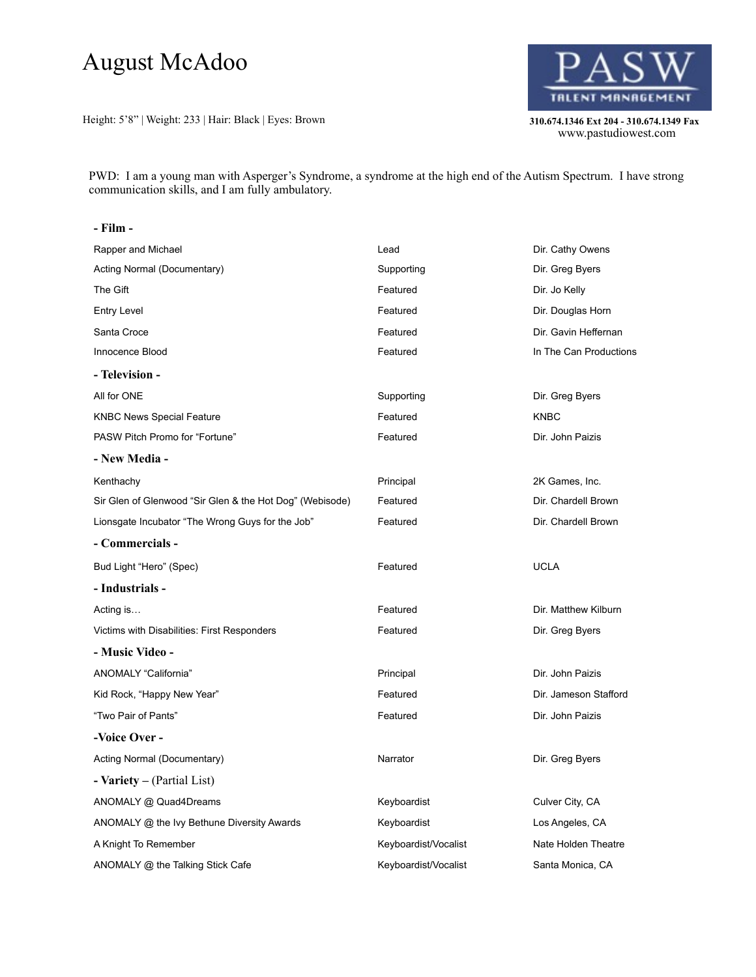# August McAdoo

Height: 5'8" | Weight: 233 | Hair: Black | Eyes: Brown **310.674.1346 Ext 204 - 310.674.1349 Fax** 



310.674.1346 Ext 204 - 310.674.1349 Fax<br>www.pastudiowest.com

PWD: I am a young man with Asperger's Syndrome, a syndrome at the high end of the Autism Spectrum. I have strong communication skills, and I am fully ambulatory.

#### **- Film -**

| Rapper and Michael                                       | Lead                 | Dir. Cathy Owens       |
|----------------------------------------------------------|----------------------|------------------------|
| Acting Normal (Documentary)                              | Supporting           | Dir. Greg Byers        |
| The Gift                                                 | Featured             | Dir. Jo Kelly          |
| Entry Level                                              | Featured             | Dir. Douglas Horn      |
| Santa Croce                                              | Featured             | Dir. Gavin Heffernan   |
| Innocence Blood                                          | Featured             | In The Can Productions |
| - Television -                                           |                      |                        |
| All for ONE                                              | Supporting           | Dir. Greg Byers        |
| <b>KNBC News Special Feature</b>                         | Featured             | <b>KNBC</b>            |
| PASW Pitch Promo for "Fortune"                           | Featured             | Dir. John Paizis       |
| - New Media -                                            |                      |                        |
| Kenthachy                                                | Principal            | 2K Games, Inc.         |
| Sir Glen of Glenwood "Sir Glen & the Hot Dog" (Webisode) | Featured             | Dir. Chardell Brown    |
| Lionsgate Incubator "The Wrong Guys for the Job"         | Featured             | Dir. Chardell Brown    |
| - Commercials -                                          |                      |                        |
| Bud Light "Hero" (Spec)                                  | Featured             | <b>UCLA</b>            |
| - Industrials -                                          |                      |                        |
| Acting is                                                | Featured             | Dir. Matthew Kilburn   |
| Victims with Disabilities: First Responders              | Featured             | Dir. Greg Byers        |
| - Music Video -                                          |                      |                        |
| ANOMALY "California"                                     | Principal            | Dir. John Paizis       |
| Kid Rock, "Happy New Year"                               | Featured             | Dir. Jameson Stafford  |
| "Two Pair of Pants"                                      | Featured             | Dir. John Paizis       |
| -Voice Over -                                            |                      |                        |
| Acting Normal (Documentary)                              | Narrator             | Dir. Greg Byers        |
| - <b>Variety</b> – (Partial List)                        |                      |                        |
| ANOMALY @ Quad4Dreams                                    | Keyboardist          | Culver City, CA        |
| ANOMALY @ the Ivy Bethune Diversity Awards               | Keyboardist          | Los Angeles, CA        |
| A Knight To Remember                                     | Keyboardist/Vocalist | Nate Holden Theatre    |
| ANOMALY @ the Talking Stick Cafe                         | Keyboardist/Vocalist | Santa Monica, CA       |